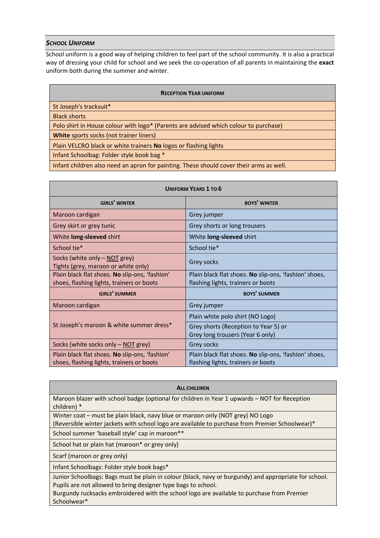# *SCHOOL UNIFORM*

School uniform is a good way of helping children to feel part of the school community. It is also a practical way of dressing your child for school and we seek the co-operation of all parents in maintaining the **exact** uniform both during the summer and winter.

| <b>RECEPTION YEAR UNIFORM</b>                                                           |
|-----------------------------------------------------------------------------------------|
| St Joseph's tracksuit*                                                                  |
| <b>Black shorts</b>                                                                     |
| Polo shirt in House colour with logo* (Parents are advised which colour to purchase)    |
| White sports socks (not trainer liners)                                                 |
| Plain VELCRO black or white trainers No logos or flashing lights                        |
| Infant Schoolbag: Folder style book bag *                                               |
| Infant children also need an apron for painting. These should cover their arms as well. |

| <b>UNIFORM YEARS 1 TO 6</b>                                                                 |                                                                                             |  |
|---------------------------------------------------------------------------------------------|---------------------------------------------------------------------------------------------|--|
| <b>GIRLS' WINTER</b>                                                                        | <b>BOYS' WINTER</b>                                                                         |  |
| Maroon cardigan                                                                             | Grey jumper                                                                                 |  |
| Grey skirt or grey tunic                                                                    | Grey shorts or long trousers                                                                |  |
| White long-sleeved shirt                                                                    | White long-sleeved shirt                                                                    |  |
| School tie*                                                                                 | School tie*                                                                                 |  |
| Socks (white only - NOT grey)<br>Tights (grey, maroon or white only)                        | Grey socks                                                                                  |  |
| Plain black flat shoes. No slip-ons, 'fashion'<br>shoes, flashing lights, trainers or boots | Plain black flat shoes. No slip-ons, 'fashion' shoes,<br>flashing lights, trainers or boots |  |
| <b>GIRLS' SUMMER</b>                                                                        | <b>BOYS' SUMMER</b>                                                                         |  |
| Maroon cardigan                                                                             | Grey jumper                                                                                 |  |
| St Joseph's maroon & white summer dress*                                                    | Plain white polo shirt (NO Logo)                                                            |  |
|                                                                                             | Grey shorts (Reception to Year 5) or<br>Grey long trousers (Year 6 only)                    |  |
| Socks (white socks only - NOT grey)                                                         | Grey socks                                                                                  |  |
| Plain black flat shoes. No slip-ons, 'fashion'<br>shoes, flashing lights, trainers or boots | Plain black flat shoes. No slip-ons, 'fashion' shoes,<br>flashing lights, trainers or boots |  |

### **ALL CHILDREN**

Maroon blazer with school badge (optional for children in Year 1 upwards – NOT for Reception children) \*

Winter coat – must be plain black, navy blue or maroon only (NOT grey) NO Logo

(Reversible winter jackets with school logo are available to purchase from Premier Schoolwear)\*

School summer 'baseball style' cap in maroon\*\*

School hat or plain hat (maroon\* or grey only)

Scarf (maroon or grey only)

Infant Schoolbags: Folder style book bags\*

Junior Schoolbags: Bags must be plain in colour (black, navy or burgundy) and appropriate for school. Pupils are not allowed to bring designer type bags to school.

Burgundy rucksacks embroidered with the school logo are available to purchase from Premier Schoolwear\*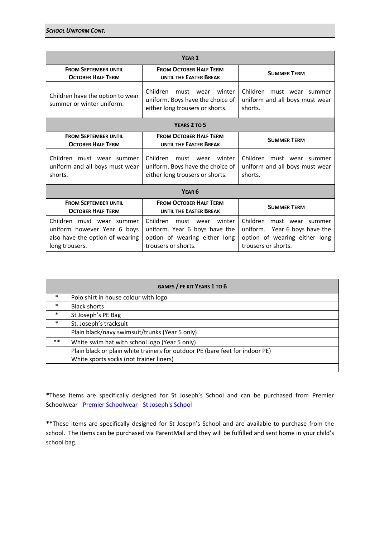| YEAR <sub>1</sub>                                                                                             |                                                                                                                          |                                                                                                                    |  |
|---------------------------------------------------------------------------------------------------------------|--------------------------------------------------------------------------------------------------------------------------|--------------------------------------------------------------------------------------------------------------------|--|
| <b>FROM SEPTEMBER UNTIL</b><br><b>OCTOBER HALF TERM</b>                                                       | <b>FROM OCTOBER HALF TERM</b><br><b>UNTIL THE EASTER BREAK</b>                                                           | <b>SUMMER TERM</b>                                                                                                 |  |
| Children have the option to wear<br>summer or winter uniform.                                                 | Children must wear<br>winter<br>uniform. Boys have the choice of<br>either long trousers or shorts.                      | Children must wear summer<br>uniform and all boys must wear<br>shorts.                                             |  |
| YEARS 2 TO 5                                                                                                  |                                                                                                                          |                                                                                                                    |  |
| <b>FROM SEPTEMBER UNTIL</b><br><b>OCTOBER HALF TERM</b>                                                       | <b>FROM OCTOBER HALF TERM</b><br><b>UNTIL THE EASTER BREAK</b>                                                           | <b>SUMMER TERM</b>                                                                                                 |  |
| Children must wear summer<br>uniform and all boys must wear<br>shorts.                                        | Children.<br>must<br>winter<br>wear<br>uniform. Boys have the choice of<br>either long trousers or shorts.               | Children must wear summer<br>uniform and all boys must wear<br>shorts.                                             |  |
| YEAR <sub>6</sub>                                                                                             |                                                                                                                          |                                                                                                                    |  |
| <b>FROM SEPTEMBER UNTIL</b><br><b>OCTOBER HALF TERM</b>                                                       | <b>FROM OCTOBER HALF TERM</b><br><b>UNTIL THE EASTER BREAK</b>                                                           | <b>SUMMER TERM</b>                                                                                                 |  |
| Children must wear summer<br>uniform however Year 6 boys<br>also have the option of wearing<br>long trousers. | Children<br>winter<br>must wear<br>uniform. Year 6 boys have the<br>option of wearing either long<br>trousers or shorts. | Children must wear summer<br>uniform. Year 6 boys have the<br>option of wearing either long<br>trousers or shorts. |  |

|        | <b>GAMES / PE KIT YEARS 1 TO 6</b>                                           |
|--------|------------------------------------------------------------------------------|
| $\ast$ | Polo shirt in house colour with logo                                         |
| $\ast$ | <b>Black shorts</b>                                                          |
| $\ast$ | St Joseph's PE Bag                                                           |
| $\ast$ | St. Joseph's tracksuit                                                       |
|        | Plain black/navy swimsuit/trunks (Year 5 only)                               |
| $***$  | White swim hat with school logo (Year 5 only)                                |
|        | Plain black or plain white trainers for outdoor PE (bare feet for indoor PE) |
|        | White sports socks (not trainer liners)                                      |
|        |                                                                              |

**\***These items are specifically designed for St Joseph's School and can be purchased from Premier Schoolwear - [Premier Schoolwear -](https://www.premierschoolwear.co.uk/product-category/primary-schools/st-joseph-primary-school-upminster/) St Joseph's School

**\*\***These items are specifically designed for St Joseph's School and are available to purchase from the school. The items can be purchased via ParentMail and they will be fulfilled and sent home in your child's school bag.